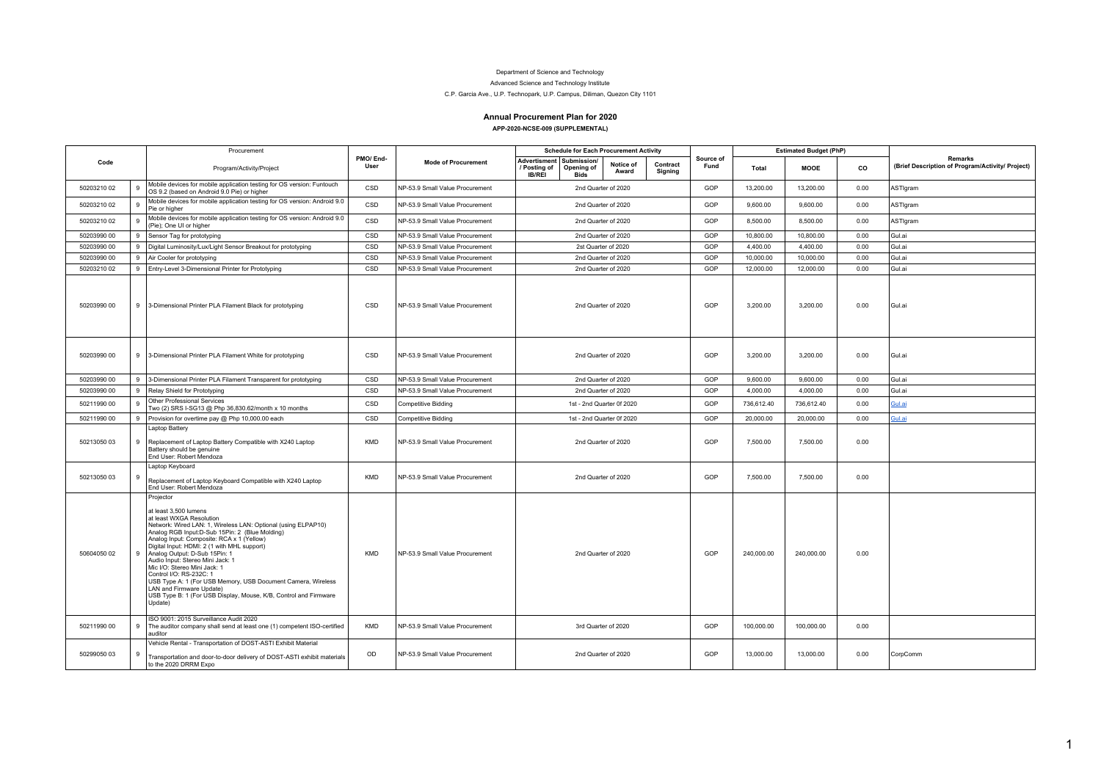## Department of Science and Technology

## Advanced Science and Technology Institute

## C.P. Garcia Ave., U.P. Technopark, U.P. Campus, Diliman, Quezon City 1101

## **Annual Procurement Plan for 2020**

|             |   |                                                                                                                                                                                                                                                                                                                                                                                                                                                                                                                                                                                          |                  |                                 | APP-2020-NCSE-009 (SUPPLEMENTAL) |                                                         |                           |                     |                   |            |                               |      |                                                                    |
|-------------|---|------------------------------------------------------------------------------------------------------------------------------------------------------------------------------------------------------------------------------------------------------------------------------------------------------------------------------------------------------------------------------------------------------------------------------------------------------------------------------------------------------------------------------------------------------------------------------------------|------------------|---------------------------------|----------------------------------|---------------------------------------------------------|---------------------------|---------------------|-------------------|------------|-------------------------------|------|--------------------------------------------------------------------|
|             |   | Procurement                                                                                                                                                                                                                                                                                                                                                                                                                                                                                                                                                                              |                  |                                 |                                  | <b>Schedule for Each Procurement Activity</b>           |                           |                     |                   |            | <b>Estimated Budget (PhP)</b> |      |                                                                    |
| Code        |   | Program/Activity/Project                                                                                                                                                                                                                                                                                                                                                                                                                                                                                                                                                                 | PMO/End-<br>User | <b>Mode of Procurement</b>      | / Posting of<br><b>IB/REI</b>    | Advertisment   Submission/<br>Opening of<br><b>Bids</b> | Notice of<br>Award        | Contract<br>Signing | Source of<br>Fund | Total      | <b>MOOE</b>                   | CO   | <b>Remarks</b><br>(Brief Description of Program/Activity/ Project) |
| 50203210 02 | 9 | Mobile devices for mobile application testing for OS version: Funtouch<br>OS 9.2 (based on Android 9.0 Pie) or higher                                                                                                                                                                                                                                                                                                                                                                                                                                                                    | CSD              | NP-53.9 Small Value Procurement |                                  |                                                         | 2nd Quarter of 2020       |                     | GOP               | 13,200.00  | 13,200.00                     | 0.00 | ASTIgram                                                           |
| 50203210 02 | 9 | Mobile devices for mobile application testing for OS version: Android 9.0<br>Pie or higher                                                                                                                                                                                                                                                                                                                                                                                                                                                                                               | CSD              | NP-53.9 Small Value Procurement |                                  |                                                         | 2nd Quarter of 2020       |                     | GOP               | 9,600.00   | 9,600.00                      | 0.00 | ASTIgram                                                           |
| 50203210 02 | 9 | Mobile devices for mobile application testing for OS version: Android 9.0<br>(Pie); One UI or higher                                                                                                                                                                                                                                                                                                                                                                                                                                                                                     | CSD              | NP-53.9 Small Value Procurement |                                  |                                                         | 2nd Quarter of 2020       |                     | GOP               | 8,500.00   | 8,500.00                      | 0.00 | ASTIgram                                                           |
| 50203990 00 | 9 | Sensor Tag for prototyping                                                                                                                                                                                                                                                                                                                                                                                                                                                                                                                                                               | CSD              | NP-53.9 Small Value Procurement |                                  |                                                         | 2nd Quarter of 2020       |                     | GOP               | 10,800.00  | 10.800.00                     | 0.00 | Gul.ai                                                             |
| 50203990 00 | 9 | Digital Luminosity/Lux/Light Sensor Breakout for prototyping                                                                                                                                                                                                                                                                                                                                                                                                                                                                                                                             | CSD              | NP-53.9 Small Value Procurement |                                  | 2st Quarter of 2020                                     |                           |                     | GOP               | 4,400.00   | 4,400.00                      | 0.00 | Gul.ai                                                             |
| 50203990 00 | 9 | Air Cooler for prototyping                                                                                                                                                                                                                                                                                                                                                                                                                                                                                                                                                               | CSD              | NP-53.9 Small Value Procurement |                                  |                                                         | 2nd Quarter of 2020       |                     | GOP               | 10,000.00  | 10,000.00                     | 0.00 | Gul.ai                                                             |
| 50203210 02 | 9 | Entry-Level 3-Dimensional Printer for Prototyping                                                                                                                                                                                                                                                                                                                                                                                                                                                                                                                                        | CSD              | NP-53.9 Small Value Procurement |                                  |                                                         | 2nd Quarter of 2020       |                     | GOP               | 12,000.00  | 12,000.00                     | 0.00 | Gul.ai                                                             |
| 50203990 00 |   | 9 3-Dimensional Printer PLA Filament Black for prototyping                                                                                                                                                                                                                                                                                                                                                                                                                                                                                                                               | CSD              | NP-53.9 Small Value Procurement |                                  |                                                         | 2nd Quarter of 2020       |                     | GOP               | 3.200.00   | 3.200.00                      | 0.00 | Gul.ai                                                             |
| 50203990 00 |   | 9 3-Dimensional Printer PLA Filament White for prototyping                                                                                                                                                                                                                                                                                                                                                                                                                                                                                                                               | CSD              | NP-53.9 Small Value Procurement |                                  |                                                         | 2nd Quarter of 2020       |                     | GOP               | 3,200.00   | 3,200.00                      | 0.00 | Gul.ai                                                             |
| 50203990 00 |   | 9 3-Dimensional Printer PLA Filament Transparent for prototyping                                                                                                                                                                                                                                                                                                                                                                                                                                                                                                                         | CSD              | NP-53.9 Small Value Procurement |                                  |                                                         | 2nd Quarter of 2020       |                     | GOP               | 9,600.00   | 9.600.00                      | 0.00 | Gul.ai                                                             |
| 50203990 00 | 9 | Relay Shield for Prototyping                                                                                                                                                                                                                                                                                                                                                                                                                                                                                                                                                             | CSD              | NP-53.9 Small Value Procurement |                                  |                                                         | 2nd Quarter of 2020       |                     | GOP               | 4,000.00   | 4.000.00                      | 0.00 | Gul.ai                                                             |
| 50211990 00 | 9 | Other Professional Services<br>Two (2) SRS I-SG13 @ Php 36,830.62/month x 10 months                                                                                                                                                                                                                                                                                                                                                                                                                                                                                                      | CSD              | <b>Competitive Bidding</b>      |                                  |                                                         | 1st - 2nd Quarter 0f 2020 |                     | GOP               | 736.612.40 | 736.612.40                    | 0.00 | Gul.ai                                                             |
| 50211990 00 | 9 | Provision for overtime pay @ Php 10,000.00 each                                                                                                                                                                                                                                                                                                                                                                                                                                                                                                                                          | CSD              | <b>Competitive Bidding</b>      |                                  |                                                         | 1st - 2nd Quarter 0f 2020 |                     | GOP               | 20,000.00  | 20,000.00                     | 0.00 | Gul.ai                                                             |
| 5021305003  | 9 | Laptop Battery<br>Replacement of Laptop Battery Compatible with X240 Laptop<br>Battery should be genuine<br>End User: Robert Mendoza                                                                                                                                                                                                                                                                                                                                                                                                                                                     | <b>KMD</b>       | NP-53.9 Small Value Procurement |                                  |                                                         | 2nd Quarter of 2020       |                     | GOP               | 7.500.00   | 7.500.00                      | 0.00 |                                                                    |
| 5021305003  | 9 | Laptop Keyboard<br>Replacement of Laptop Keyboard Compatible with X240 Laptop<br>End User: Robert Mendoza                                                                                                                                                                                                                                                                                                                                                                                                                                                                                | <b>KMD</b>       | NP-53.9 Small Value Procurement |                                  |                                                         | 2nd Quarter of 2020       |                     | GOP               | 7.500.00   | 7.500.00                      | 0.00 |                                                                    |
| 50604050 02 | 9 | Projector<br>at least 3,500 lumens<br>at least WXGA Resolution<br>Network: Wired LAN: 1, Wireless LAN: Optional (using ELPAP10)<br>Analog RGB Input:D-Sub 15Pin: 2 (Blue Molding)<br>Analog Input: Composite: RCA x 1 (Yellow)<br>Digital Input: HDMI: 2 (1 with MHL support)<br>Analog Output: D-Sub 15Pin: 1<br>Audio Input: Stereo Mini Jack: 1<br>Mic I/O: Stereo Mini Jack: 1<br>Control I/O: RS-232C: 1<br>USB Type A: 1 (For USB Memory, USB Document Camera, Wireless<br>LAN and Firmware Update)<br>USB Type B: 1 (For USB Display, Mouse, K/B, Control and Firmware<br>Update) | KMD              | NP-53.9 Small Value Procurement |                                  |                                                         | 2nd Quarter of 2020       |                     | GOP               | 240,000.00 | 240,000.00                    | 0.00 |                                                                    |
| 5021199000  | 9 | ISO 9001: 2015 Surveillance Audit 2020<br>The auditor company shall send at least one (1) competent ISO-certified<br>auditor                                                                                                                                                                                                                                                                                                                                                                                                                                                             | <b>KMD</b>       | NP-53.9 Small Value Procurement |                                  |                                                         | 3rd Quarter of 2020       |                     | GOP               | 100,000.00 | 100,000.00                    | 0.00 |                                                                    |
|             |   | Vehicle Rental - Transportation of DOST-ASTI Exhibit Material                                                                                                                                                                                                                                                                                                                                                                                                                                                                                                                            |                  |                                 |                                  |                                                         |                           |                     |                   |            |                               |      |                                                                    |

OD NP-53.9 Small Value Procurement | 2nd Quarter of 2020 | GOP | 13,000.00 | 13,000.00 | 0.00 CorpComm

50299050 03

Transportation and door-to-door delivery of DOST-ASTI exhibit materials to the 2020 DRRM Expo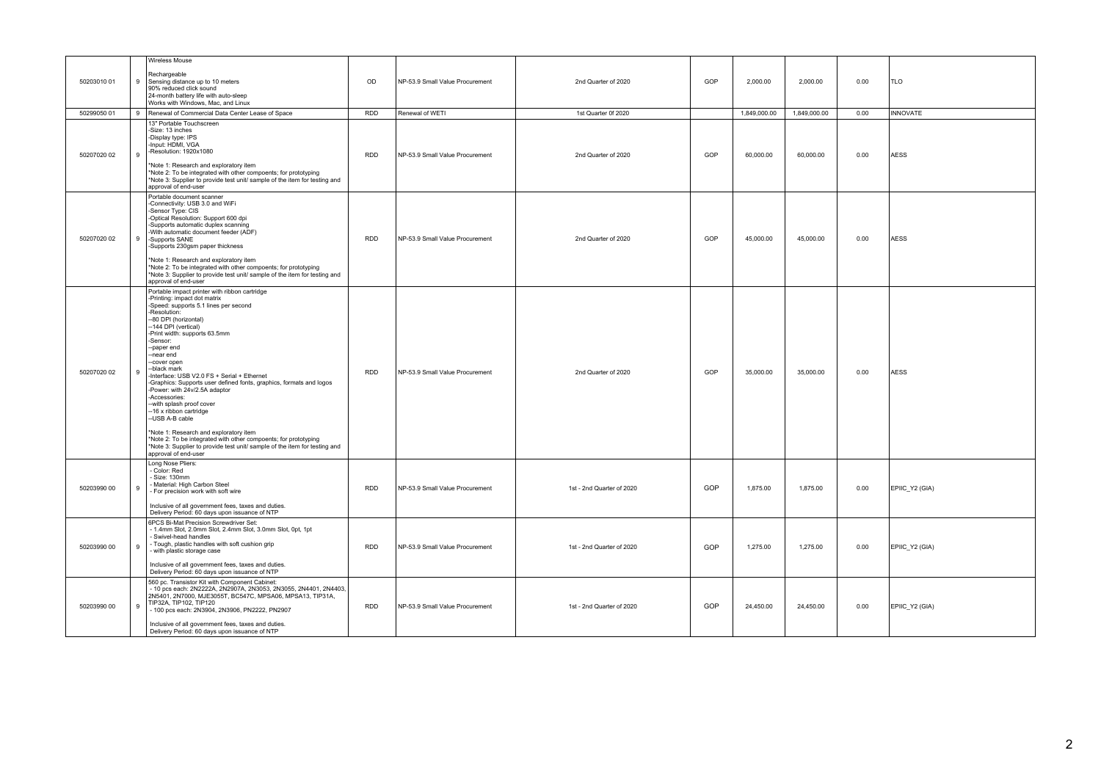|             |              | <b>Wireless Mouse</b>                                                                                                                                                                                                                                                                                                                                                                                                                                                                                                                                                                                                                                                                                                                                         |            |                                 |                           |     |              |              |      |                 |
|-------------|--------------|---------------------------------------------------------------------------------------------------------------------------------------------------------------------------------------------------------------------------------------------------------------------------------------------------------------------------------------------------------------------------------------------------------------------------------------------------------------------------------------------------------------------------------------------------------------------------------------------------------------------------------------------------------------------------------------------------------------------------------------------------------------|------------|---------------------------------|---------------------------|-----|--------------|--------------|------|-----------------|
| 50203010 01 | 9            | Rechargeable<br>Sensing distance up to 10 meters<br>90% reduced click sound<br>24-month battery life with auto-sleep<br>Works with Windows, Mac. and Linux                                                                                                                                                                                                                                                                                                                                                                                                                                                                                                                                                                                                    | OD         | NP-53.9 Small Value Procurement | 2nd Quarter of 2020       | GOP | 2,000.00     | 2.000.00     | 0.00 | <b>TLO</b>      |
| 50299050 01 | 9            | Renewal of Commercial Data Center Lease of Space                                                                                                                                                                                                                                                                                                                                                                                                                                                                                                                                                                                                                                                                                                              | <b>RDD</b> | Renewal of WETI                 | 1st Quarter 0f 2020       |     | 1,849,000.00 | 1,849,000.00 | 0.00 | <b>INNOVATE</b> |
| 50207020 02 | $\mathbf{Q}$ | 13" Portable Touchscreen<br>-Size: 13 inches<br>-Display type: IPS<br>Input: HDMI, VGA<br>Resolution: 1920x1080<br>Note 1: Research and exploratory item<br>*Note 2: To be integrated with other compoents; for prototyping<br>*Note 3: Supplier to provide test unit/ sample of the item for testing and<br>approval of end-user                                                                                                                                                                                                                                                                                                                                                                                                                             | <b>RDD</b> | NP-53.9 Small Value Procurement | 2nd Quarter of 2020       | GOP | 60.000.00    | 60.000.00    | 0.00 | <b>AESS</b>     |
| 50207020 02 | 9            | Portable document scanner<br>-Connectivity: USB 3.0 and WiFi<br>Sensor Type: CIS<br>-Optical Resolution: Support 600 dpi<br>-Supports automatic duplex scanning<br>-With automatic document feeder (ADF)<br>-Supports SANE<br>Supports 230gsm paper thickness<br>Note 1: Research and exploratory item<br>*Note 2: To be integrated with other compoents; for prototyping<br>*Note 3: Supplier to provide test unit/ sample of the item for testing and<br>approval of end-user                                                                                                                                                                                                                                                                               | RDD        | NP-53.9 Small Value Procurement | 2nd Quarter of 2020       | GOP | 45,000.00    | 45,000.00    | 0.00 | <b>AESS</b>     |
| 50207020 02 | 9            | Portable impact printer with ribbon cartridge<br>-Printing: impact dot matrix<br>-Speed: supports 5.1 lines per second<br>-Resolution:<br>-80 DPI (horizontal)<br>--144 DPI (vertical)<br>-Print width: supports 63.5mm<br>-Sensor:<br>--paper end<br>-near end<br>-cover open<br>-black mark<br>-Interface: USB V2.0 FS + Serial + Ethernet<br>-Graphics: Supports user defined fonts, graphics, formats and logos<br>Power: with 24v/2.5A adaptor<br>-Accessories:<br>-with splash proof cover<br>-16 x ribbon cartridge<br>-USB A-B cable<br>*Note 1: Research and exploratory item<br>Note 2: To be integrated with other compoents; for prototyping<br>Note 3: Supplier to provide test unit/ sample of the item for testing and<br>approval of end-user | RDD        | NP-53.9 Small Value Procurement | 2nd Quarter of 2020       | GOP | 35,000.00    | 35,000.00    | 0.00 | <b>AESS</b>     |
| 50203990 00 | 9            | Long Nose Pliers:<br>Color: Red<br>Size: 130mm<br>Material: High Carbon Steel<br>For precision work with soft wire<br>Inclusive of all government fees, taxes and duties.<br>Delivery Period: 60 days upon issuance of NTP                                                                                                                                                                                                                                                                                                                                                                                                                                                                                                                                    | <b>RDD</b> | NP-53.9 Small Value Procurement | 1st - 2nd Quarter of 2020 | GOP | 1,875.00     | 1,875.00     | 0.00 | EPIIC_Y2 (GIA)  |
| 50203990 00 | 9            | 6PCS Bi-Mat Precision Screwdriver Set:<br>1.4mm Slot, 2.0mm Slot, 2.4mm Slot, 3.0mm Slot, 0pt, 1pt<br>Swivel-head handles<br>Tough, plastic handles with soft cushion grip<br>with plastic storage case<br>Inclusive of all government fees, taxes and duties.<br>Delivery Period: 60 days upon issuance of NTP                                                                                                                                                                                                                                                                                                                                                                                                                                               | <b>RDD</b> | NP-53.9 Small Value Procurement | 1st - 2nd Quarter of 2020 | GOP | 1.275.00     | 1.275.00     | 0.00 | EPIIC Y2 (GIA)  |
| 50203990 00 | $\mathbf{Q}$ | 560 pc. Transistor Kit with Component Cabinet:<br>10 pcs each: 2N2222A, 2N2907A, 2N3053, 2N3055, 2N4401, 2N4403,<br>2N5401, 2N7000, MJE3055T, BC547C, MPSA06, MPSA13, TIP31A,<br>TIP32A, TIP102, TIP120<br>100 pcs each: 2N3904, 2N3906, PN2222, PN2907<br>Inclusive of all government fees, taxes and duties.<br>Delivery Period: 60 days upon issuance of NTP                                                                                                                                                                                                                                                                                                                                                                                               | <b>RDD</b> | NP-53.9 Small Value Procurement | 1st - 2nd Quarter of 2020 | GOP | 24,450.00    | 24,450.00    | 0.00 | EPIIC_Y2 (GIA)  |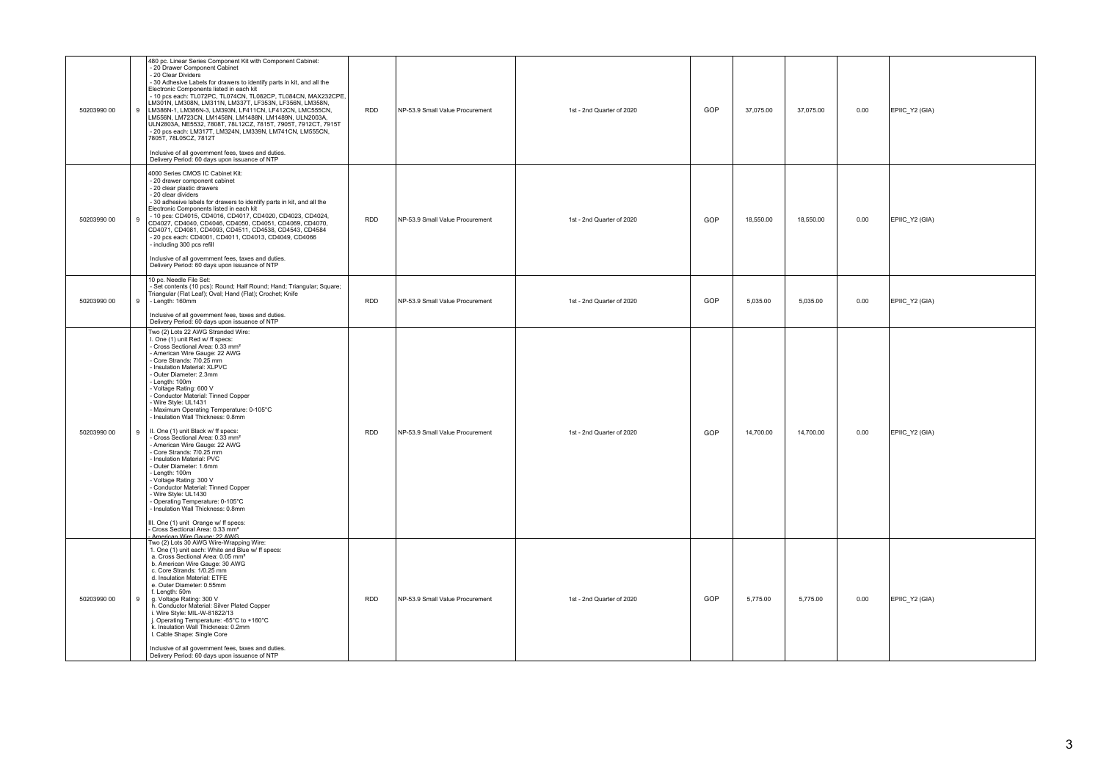| 50203990 00<br>9 | 480 pc. Linear Series Component Kit with Component Cabinet:<br>20 Drawer Component Cabinet<br>20 Clear Dividers<br>- 30 Adhesive Labels for drawers to identify parts in kit, and all the<br>Electronic Components listed in each kit<br>- 10 pcs each: TL072PC, TL074CN, TL082CP, TL084CN, MAX232CPE,<br>LM301N, LM308N, LM311N, LM337T, LF353N, LF356N, LM358N,<br>LM386N-1, LM386N-3, LM393N, LF411CN, LF412CN, LMC555CN,<br>LM556N, LM723CN, LM1458N, LM1488N, LM1489N, ULN2003A,<br>ULN2803A, NE5532, 7808T, 78L12CZ, 7815T, 7905T, 7912CT, 7915T<br>-20 pcs each: LM317T, LM324N, LM339N, LM741CN, LM555CN,<br>7805T, 78L05CZ, 7812T<br>Inclusive of all government fees, taxes and duties.<br>Delivery Period: 60 days upon issuance of NTP                                                                                                                                                             | <b>RDD</b> | NP-53.9 Small Value Procurement | 1st - 2nd Quarter of 2020 | GOP | 37,075.00 | 37,075.00 | 0.00 | EPIIC_Y2 (GIA) |
|------------------|----------------------------------------------------------------------------------------------------------------------------------------------------------------------------------------------------------------------------------------------------------------------------------------------------------------------------------------------------------------------------------------------------------------------------------------------------------------------------------------------------------------------------------------------------------------------------------------------------------------------------------------------------------------------------------------------------------------------------------------------------------------------------------------------------------------------------------------------------------------------------------------------------------------|------------|---------------------------------|---------------------------|-----|-----------|-----------|------|----------------|
| 50203990 00<br>9 | 4000 Series CMOS IC Cabinet Kit:<br>- 20 drawer component cabinet<br>- 20 clear plastic drawers<br>- 20 clear dividers<br>- 30 adhesive labels for drawers to identify parts in kit, and all the<br>Electronic Components listed in each kit<br>CD4071, CD4081, CD4093, CD4511, CD4538, CD4543, CD4584<br>20 pcs each: CD4001, CD4011, CD4013, CD4049, CD4066<br>including 300 pcs refill<br>Inclusive of all government fees, taxes and duties.<br>Delivery Period: 60 days upon issuance of NTP                                                                                                                                                                                                                                                                                                                                                                                                              | <b>RDD</b> | NP-53.9 Small Value Procurement | 1st - 2nd Quarter of 2020 | GOP | 18,550.00 | 18,550.00 | 0.00 | EPIIC_Y2 (GIA) |
| 50203990 00<br>9 | 10 pc. Needle File Set:<br>- Set contents (10 pcs): Round; Half Round; Hand; Triangular; Square;<br>Triangular (Flat Leaf); Oval; Hand (Flat); Crochet; Knife<br>- Length: 160mm<br>Inclusive of all government fees, taxes and duties.<br>Delivery Period: 60 days upon issuance of NTP                                                                                                                                                                                                                                                                                                                                                                                                                                                                                                                                                                                                                       | <b>RDD</b> | NP-53.9 Small Value Procurement | 1st - 2nd Quarter of 2020 | GOP | 5,035.00  | 5,035.00  | 0.00 | EPIIC_Y2 (GIA) |
| 50203990 00<br>9 | Two (2) Lots 22 AWG Stranded Wire:<br>I. One (1) unit Red w/ ff specs:<br>Cross Sectional Area: 0.33 mm <sup>2</sup><br>- American Wire Gauge: 22 AWG<br>Core Strands: 7/0.25 mm<br>Insulation Material: XLPVC<br>Outer Diameter: 2.3mm<br>- Length: 100m<br>Voltage Rating: 600 V<br>- Conductor Material: Tinned Copper<br>Wire Style: UL1431<br>Maximum Operating Temperature: 0-105°C<br>Insulation Wall Thickness: 0.8mm<br>II. One (1) unit Black w/ ff specs:<br>Cross Sectional Area: 0.33 mm <sup>2</sup><br>- American Wire Gauge: 22 AWG<br>Core Strands: 7/0.25 mm<br>- Insulation Material: PVC<br>- Outer Diameter: 1.6mm<br>- Length: 100m<br>Voltage Rating: 300 V<br>- Conductor Material: Tinned Copper<br>Wire Style: UL1430<br>- Operating Temperature: 0-105°C<br>Insulation Wall Thickness: 0.8mm<br>III. One (1) unit Orange w/ ff specs:<br>Cross Sectional Area: 0.33 mm <sup>2</sup> | <b>RDD</b> | NP-53.9 Small Value Procurement | 1st - 2nd Quarter of 2020 | GOP | 14,700.00 | 14,700.00 | 0.00 | EPIIC_Y2 (GIA) |
| 50203990 00<br>9 | American Wire Gauge: 22 AWG<br>Two (2) Lots 30 AWG Wire-Wrapping Wire:<br>1. One (1) unit each: White and Blue w/ ff specs:<br>a. Cross Sectional Area: 0.05 mm <sup>2</sup><br>b. American Wire Gauge: 30 AWG<br>c. Core Strands: 1/0.25 mm<br>d. Insulation Material: ETFE<br>e. Outer Diameter: 0.55mm<br>f. Length: 50m<br>g. Voltage Rating: 300 V<br>h. Conductor Material: Silver Plated Copper<br>i. Wire Style: MIL-W-81822/13<br>j. Operating Temperature: -65°C to +160°C<br>k. Insulation Wall Thickness: 0.2mm<br>I. Cable Shape: Single Core<br>Inclusive of all government fees, taxes and duties.<br>Delivery Period: 60 days upon issuance of NTP                                                                                                                                                                                                                                             | <b>RDD</b> | NP-53.9 Small Value Procurement | 1st - 2nd Quarter of 2020 | GOP | 5,775.00  | 5,775.00  | 0.00 | EPIIC_Y2 (GIA) |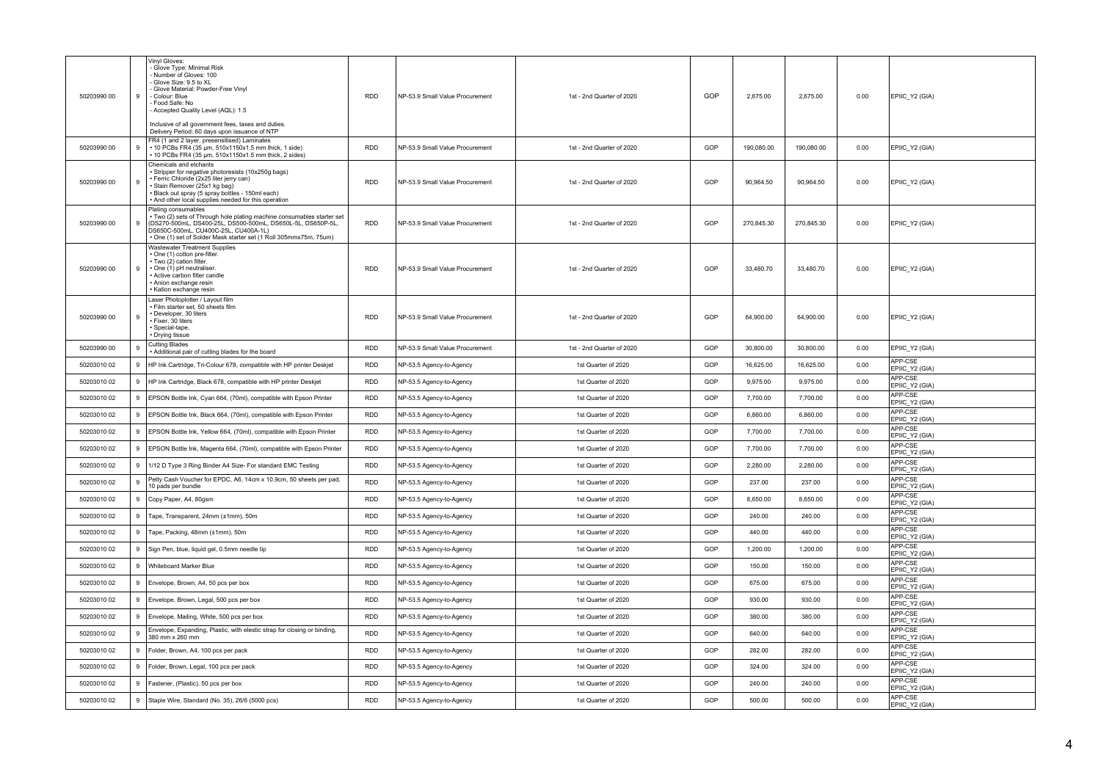| 50203990 00 | 9 | Vinyl Gloves:<br>Glove Type: Minimal Risk<br>Number of Gloves: 100<br>- Glove Size: 9.5 to XL<br>- Glove Material: Powder-Free Vinyl<br>- Colour: Blue<br>Food Safe: No<br>Accepted Quality Level (AQL): 1.5<br>Inclusive of all government fees, taxes and duties.<br>Delivery Period: 60 days upon issuance of NTP | <b>RDD</b> | NP-53.9 Small Value Procurement | 1st - 2nd Quarter of 2020 | GOP | 2,675.00   | 2,675.00   | 0.00 | EPIIC_Y2 (GIA)            |
|-------------|---|----------------------------------------------------------------------------------------------------------------------------------------------------------------------------------------------------------------------------------------------------------------------------------------------------------------------|------------|---------------------------------|---------------------------|-----|------------|------------|------|---------------------------|
| 50203990 00 | 9 | FR4 (1 and 2 layer, presensitised) Laminates<br>10 PCBs FR4 (35 um, 510x1150x1.5 mm thick, 1 side)<br>10 PCBs FR4 (35 µm, 510x1150x1.5 mm thick, 2 sides)                                                                                                                                                            | <b>RDD</b> | NP-53.9 Small Value Procurement | 1st - 2nd Quarter of 2020 | GOP | 190,080.00 | 190,080.00 | 0.00 | EPIIC_Y2 (GIA)            |
| 50203990 00 | 9 | Chemicals and etchants<br>Stripper for negative photoresists (10x250g bags)<br>Ferric Chloride (2x25 liter jerry can)<br>Stain Remover (25x1 kg bag)<br>Black out spray (5 spray bottles - 150ml each)<br>And other local supplies needed for this operation                                                         | <b>RDD</b> | NP-53.9 Small Value Procurement | 1st - 2nd Quarter of 2020 | GOP | 90,964.50  | 90,964.50  | 0.00 | EPIIC_Y2 (GIA)            |
| 50203990 00 | 9 | Plating consumables<br>Two (2) sets of Through hole plating machine consumables starter set<br>(DS270-500mL, DS400-25L, DS500-500mL, DS650L-5L, DS650P-5L,<br>DS650C-500mL, CU400C-25L, CU400A-1L)<br>One (1) set of Solder Mask starter set (1 Roll 305mmx75m, 75um)                                                | <b>RDD</b> | NP-53.9 Small Value Procurement | 1st - 2nd Quarter of 2020 | GOP | 270,845.30 | 270,845.30 | 0.00 | EPIIC_Y2 (GIA)            |
| 50203990 00 | 9 | Wastewater Treatment Supplies<br>One (1) cotton pre-filter.<br>Two (2) cation filter.<br>One (1) pH neutraliser<br>Active carbon filter candle<br>Anion exchange resin<br>Kation exchange resin                                                                                                                      | <b>RDD</b> | NP-53.9 Small Value Procurement | 1st - 2nd Quarter of 2020 | GOP | 33,480.70  | 33,480.70  | 0.00 | EPIIC_Y2 (GIA)            |
| 50203990 00 | 9 | aser Photoplotter / Layout film<br>Film starter set, 50 sheets film<br>Developer, 30 liters<br>Fixer, 30 liters<br>Special-tape,<br>Drying tissue                                                                                                                                                                    | <b>RDD</b> | NP-53.9 Small Value Procurement | 1st - 2nd Quarter of 2020 | GOP | 64,900.00  | 64,900.00  | 0.00 | EPIIC_Y2 (GIA)            |
| 50203990 00 | 9 | Cutting Blades<br>Additional pair of cutting blades for the board                                                                                                                                                                                                                                                    | <b>RDD</b> | NP-53.9 Small Value Procurement | 1st - 2nd Quarter of 2020 | GOP | 30,800.00  | 30,800.00  | 0.00 | EPIIC_Y2 (GIA)            |
| 50203010 02 | 9 | HP Ink Cartridge, Tri-Colour 678, compatible with HP printer Deskjet                                                                                                                                                                                                                                                 | <b>RDD</b> | NP-53.5 Agency-to-Agency        | 1st Quarter of 2020       | GOP | 16,625.00  | 16,625.00  | 0.00 | APP-CSE<br>EPIIC_Y2 (GIA) |
| 50203010 02 | 9 | HP Ink Cartridge, Black 678, compatible with HP printer Deskjet                                                                                                                                                                                                                                                      | RDD        | NP-53.5 Agency-to-Agency        | 1st Quarter of 2020       | GOP | 9,975.00   | 9,975.00   | 0.00 | APP-CSE<br>EPIIC_Y2 (GIA) |
| 50203010 02 | 9 | EPSON Bottle Ink, Cyan 664, (70ml), compatible with Epson Printer                                                                                                                                                                                                                                                    | <b>RDD</b> | NP-53.5 Agency-to-Agency        | 1st Quarter of 2020       | GOP | 7,700.00   | 7,700.00   | 0.00 | APP-CSE<br>EPIIC_Y2 (GIA) |
| 50203010 02 | 9 | EPSON Bottle Ink, Black 664, (70ml), compatible with Epson Printer                                                                                                                                                                                                                                                   | RDD        | NP-53.5 Agency-to-Agency        | 1st Quarter of 2020       | GOP | 6,860.00   | 6,860.00   | 0.00 | APP-CSE<br>EPIIC_Y2 (GIA) |
| 50203010 02 |   | 9   EPSON Bottle Ink, Yellow 664, (70ml), compatible with Epson Printer                                                                                                                                                                                                                                              | RDD        | NP-53.5 Agency-to-Agency        | 1st Quarter of 2020       | GOP | 7,700.00   | 7,700.00   | 0.00 | APP-CSE<br>EPIIC_Y2 (GIA) |
| 50203010 02 |   | 9   EPSON Bottle Ink, Magenta 664, (70ml), compatible with Epson Printer                                                                                                                                                                                                                                             | <b>RDD</b> | NP-53.5 Agency-to-Agency        | 1st Quarter of 2020       | GOP | 7,700.00   | 7,700.00   | 0.00 | APP-CSE<br>EPIIC_Y2 (GIA) |
| 50203010 02 | 9 | 1/12 D Type 3 Ring Binder A4 Size- For standard EMC Testing                                                                                                                                                                                                                                                          | RDD        | NP-53.5 Agency-to-Agency        | 1st Quarter of 2020       | GOP | 2,280.00   | 2,280.00   | 0.00 | APP-CSE<br>EPIIC_Y2 (GIA) |
| 50203010 02 | 9 | Petty Cash Voucher for EPDC, A6, 14cm x 10.9cm, 50 sheets per pad,<br>10 pads per bundle                                                                                                                                                                                                                             | <b>RDD</b> | NP-53.5 Agency-to-Agency        | 1st Quarter of 2020       | GOP | 237.00     | 237.00     | 0.00 | APP-CSE<br>EPIIC_Y2 (GIA) |
| 50203010 02 | 9 | Copy Paper, A4, 80gsm                                                                                                                                                                                                                                                                                                | <b>RDD</b> | NP-53.5 Agency-to-Agency        | 1st Quarter of 2020       | GOP | 8,650.00   | 8,650.00   | 0.00 | APP-CSE<br>EPIIC Y2 (GIA) |
| 50203010 02 | 9 | Tape, Transparent, 24mm (±1mm), 50m                                                                                                                                                                                                                                                                                  | <b>RDD</b> | NP-53.5 Agency-to-Agency        | 1st Quarter of 2020       | GOP | 240.00     | 240.00     | 0.00 | APP-CSE<br>EPIIC_Y2 (GIA) |
| 50203010 02 | 9 | Tape, Packing, 48mm (±1mm), 50m                                                                                                                                                                                                                                                                                      | RDD        | NP-53.5 Agency-to-Agency        | 1st Quarter of 2020       | GOP | 440.00     | 440.00     | 0.00 | APP-CSE<br>EPIIC_Y2 (GIA) |
| 50203010 02 | 9 | Sign Pen, blue, liquid gel, 0.5mm needle tip                                                                                                                                                                                                                                                                         | <b>RDD</b> | NP-53.5 Agency-to-Agency        | 1st Quarter of 2020       | GOP | 1,200.00   | 1,200.00   | 0.00 | APP-CSE<br>EPIIC_Y2 (GIA) |
| 50203010 02 | 9 | Whiteboard Marker Blue                                                                                                                                                                                                                                                                                               | <b>RDD</b> | NP-53.5 Agency-to-Agency        | 1st Quarter of 2020       | GOP | 150.00     | 150.00     | 0.00 | APP-CSE<br>EPIIC_Y2 (GIA) |
| 50203010 02 | 9 | Envelope, Brown, A4, 50 pcs per box                                                                                                                                                                                                                                                                                  | <b>RDD</b> | NP-53.5 Agency-to-Agency        | 1st Quarter of 2020       | GOP | 675.00     | 675.00     | 0.00 | APP-CSE<br>EPIIC_Y2 (GIA) |
| 50203010 02 |   | 9   Envelope, Brown, Legal, 500 pcs per box                                                                                                                                                                                                                                                                          | <b>RDD</b> | NP-53.5 Agency-to-Agency        | 1st Quarter of 2020       | GOP | 930.00     | 930.00     | 0.00 | APP-CSE<br>EPIIC_Y2 (GIA) |
| 50203010 02 | 9 | Envelope, Mailing, White, 500 pcs per box                                                                                                                                                                                                                                                                            | <b>RDD</b> | NP-53.5 Agency-to-Agency        | 1st Quarter of 2020       | GOP | 380.00     | 380.00     | 0.00 | APP-CSF<br>EPIIC_Y2 (GIA) |
| 50203010 02 | 9 | Envelope, Expanding, Plastic, with elestic strap for closing or binding,<br>380 mm x 260 mm                                                                                                                                                                                                                          | RDD        | NP-53.5 Agency-to-Agency        | 1st Quarter of 2020       | GOP | 640.00     | 640.00     | 0.00 | APP-CSE<br>EPIIC_Y2 (GIA) |
| 50203010 02 | 9 | Folder, Brown, A4, 100 pcs per pack                                                                                                                                                                                                                                                                                  | <b>RDD</b> | NP-53.5 Agency-to-Agency        | 1st Quarter of 2020       | GOP | 282.00     | 282.00     | 0.00 | APP-CSE<br>EPIIC Y2 (GIA) |
| 50203010 02 | 9 | Folder, Brown, Legal, 100 pcs per pack                                                                                                                                                                                                                                                                               | <b>RDD</b> | NP-53.5 Agency-to-Agency        | 1st Quarter of 2020       | GOP | 324.00     | 324.00     | 0.00 | APP-CSE<br>EPIIC_Y2 (GIA) |
| 50203010 02 | 9 | Fastener, (Plastic), 50 pcs per box                                                                                                                                                                                                                                                                                  | RDD        | NP-53.5 Agency-to-Agency        | 1st Quarter of 2020       | GOP | 240.00     | 240.00     | 0.00 | APP-CSE<br>EPIIC_Y2 (GIA) |
| 50203010 02 | 9 | Staple Wire, Standard (No. 35), 26/6 (5000 pcs)                                                                                                                                                                                                                                                                      | <b>RDD</b> | NP-53.5 Agency-to-Agency        | 1st Quarter of 2020       | GOP | 500.00     | 500.00     | 0.00 | APP-CSE<br>EPIIC_Y2 (GIA) |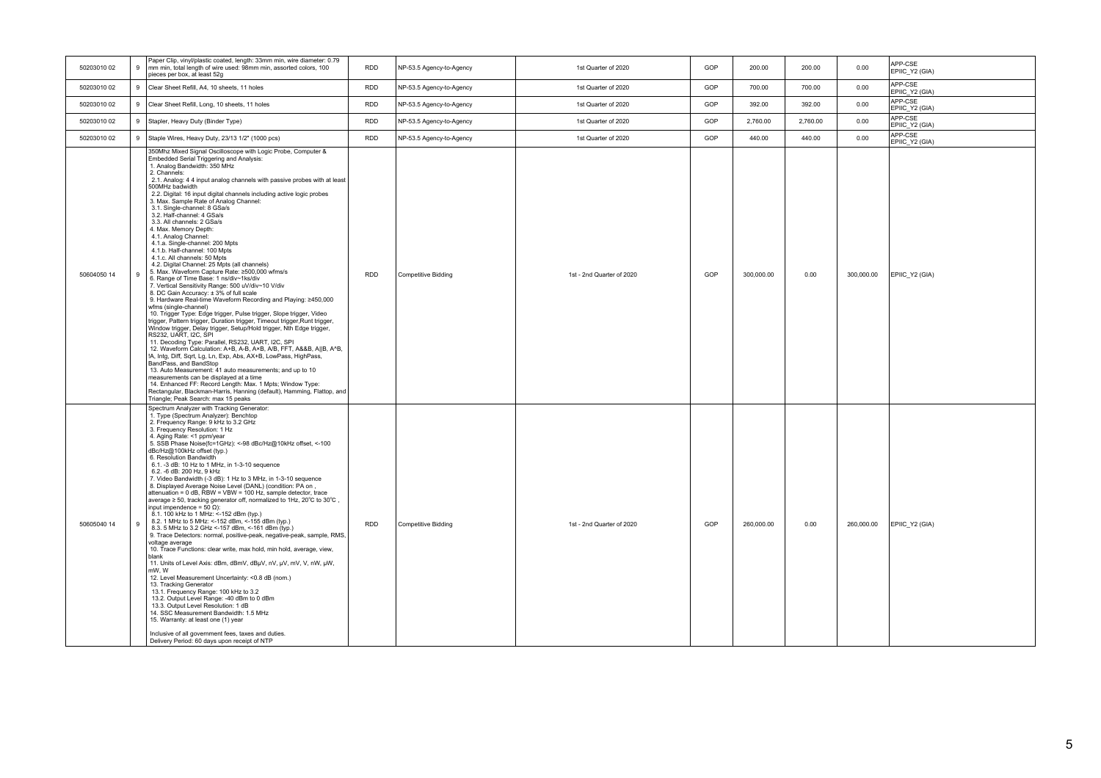| 50203010 02 | $_{9}$ | Paper Clip, vinyl/plastic coated, length: 33mm min, wire diameter: 0.79<br>mm min, total length of wire used: 98mm min, assorted colors, 100<br>pieces per box, at least 52g                                                                                                                                                                                                                                                                                                                                                                                                                                                                                                                                                                                                                                                                                                                                                                                                                                                                                                                                                                                                                                                                                                                                                                                                                                                                                                                                                                                                                                                                                                                                                                | RDD        | NP-53.5 Agency-to-Agency | 1st Quarter of 2020       | GOP | 200.00     | 200.00   | 0.00       | APP-CSE<br>EPIIC_Y2 (GIA) |
|-------------|--------|---------------------------------------------------------------------------------------------------------------------------------------------------------------------------------------------------------------------------------------------------------------------------------------------------------------------------------------------------------------------------------------------------------------------------------------------------------------------------------------------------------------------------------------------------------------------------------------------------------------------------------------------------------------------------------------------------------------------------------------------------------------------------------------------------------------------------------------------------------------------------------------------------------------------------------------------------------------------------------------------------------------------------------------------------------------------------------------------------------------------------------------------------------------------------------------------------------------------------------------------------------------------------------------------------------------------------------------------------------------------------------------------------------------------------------------------------------------------------------------------------------------------------------------------------------------------------------------------------------------------------------------------------------------------------------------------------------------------------------------------|------------|--------------------------|---------------------------|-----|------------|----------|------------|---------------------------|
| 50203010 02 | 9      | Clear Sheet Refill, A4, 10 sheets, 11 holes                                                                                                                                                                                                                                                                                                                                                                                                                                                                                                                                                                                                                                                                                                                                                                                                                                                                                                                                                                                                                                                                                                                                                                                                                                                                                                                                                                                                                                                                                                                                                                                                                                                                                                 | <b>RDD</b> | NP-53.5 Agency-to-Agency | 1st Quarter of 2020       | GOP | 700.00     | 700.00   | 0.00       | APP-CSE<br>EPIIC Y2 (GIA) |
| 50203010 02 | $_{9}$ | Clear Sheet Refill, Long, 10 sheets, 11 holes                                                                                                                                                                                                                                                                                                                                                                                                                                                                                                                                                                                                                                                                                                                                                                                                                                                                                                                                                                                                                                                                                                                                                                                                                                                                                                                                                                                                                                                                                                                                                                                                                                                                                               | <b>RDD</b> | NP-53.5 Agency-to-Agency | 1st Quarter of 2020       | GOP | 392.00     | 392.00   | 0.00       | APP-CSE<br>EPIIC_Y2 (GIA) |
| 50203010 02 |        | 9 Stapler, Heavy Duty (Binder Type)                                                                                                                                                                                                                                                                                                                                                                                                                                                                                                                                                                                                                                                                                                                                                                                                                                                                                                                                                                                                                                                                                                                                                                                                                                                                                                                                                                                                                                                                                                                                                                                                                                                                                                         | <b>RDD</b> | NP-53.5 Agency-to-Agency | 1st Quarter of 2020       | GOP | 2,760.00   | 2,760.00 | 0.00       | APP-CSE<br>EPIIC_Y2 (GIA) |
| 5020301002  |        | 9 Staple Wires, Heavy Duty, 23/13 1/2" (1000 pcs)                                                                                                                                                                                                                                                                                                                                                                                                                                                                                                                                                                                                                                                                                                                                                                                                                                                                                                                                                                                                                                                                                                                                                                                                                                                                                                                                                                                                                                                                                                                                                                                                                                                                                           | <b>RDD</b> | NP-53.5 Agency-to-Agency | 1st Quarter of 2020       | GOP | 440.00     | 440.00   | 0.00       | APP-CSE<br>EPIIC Y2 (GIA) |
| 50604050 14 | $_{9}$ | 350Mhz Mixed Signal Oscilloscope with Logic Probe, Computer &<br>Embedded Serial Triggering and Analysis:<br>1. Analog Bandwidth: 350 MHz<br>2. Channels:<br>2.1. Analog: 4 4 input analog channels with passive probes with at least<br>500MHz badwidth<br>2.2. Digital: 16 input digital channels including active logic probes<br>3. Max. Sample Rate of Analog Channel:<br>3.1. Single-channel: 8 GSa/s<br>3.2. Half-channel: 4 GSa/s<br>3.3. All channels: 2 GSa/s<br>4. Max. Memory Depth:<br>4.1. Analog Channel:<br>4.1.a. Single-channel: 200 Mpts<br>4.1.b. Half-channel: 100 Mpts<br>4.1.c. All channels: 50 Mpts<br>4.2. Digital Channel: 25 Mpts (all channels)<br>5. Max. Waveform Capture Rate: ≥500,000 wfms/s<br>6. Range of Time Base: 1 ns/div~1ks/div<br>7. Vertical Sensitivity Range: 500 uV/div~10 V/div<br>8. DC Gain Accuracy: ± 3% of full scale<br>9. Hardware Real-time Waveform Recording and Playing: ≥450,000<br>wfms (single-channel)<br>10. Trigger Type: Edge trigger, Pulse trigger, Slope trigger, Video<br>trigger, Pattern trigger, Duration trigger, Timeout trigger, Runt trigger,<br>Window trigger, Delay trigger, Setup/Hold trigger, Nth Edge trigger,<br>RS232, UART, I2C, SPI<br>11. Decoding Type: Parallel, RS232, UART, I2C, SPI<br>12. Waveform Calculation: A+B, A-B, A×B, A/B, FFT, A&&B, A  B, A^B,<br>IA, Intg, Diff, Sqrt, Lg, Ln, Exp, Abs, AX+B, LowPass, HighPass,<br>BandPass, and BandStop<br>13. Auto Measurement: 41 auto measurements; and up to 10<br>measurements can be displayed at a time<br>14. Enhanced FF: Record Length: Max. 1 Mpts; Window Type:<br>Rectangular, Blackman-Harris, Hanning (default), Hamming, Flattop, and<br>Triangle; Peak Search: max 15 peaks | <b>RDD</b> | Competitive Bidding      | 1st - 2nd Quarter of 2020 | GOP | 300,000.00 | 0.00     | 300,000.00 | EPIIC_Y2 (GIA)            |
| 50605040 14 | $_{9}$ | Spectrum Analyzer with Tracking Generator:<br>1. Type (Spectrum Analyzer): Benchtop<br>2. Frequency Range: 9 kHz to 3.2 GHz<br>3. Frequency Resolution: 1 Hz<br>4. Aging Rate: <1 ppm/year<br>5. SSB Phase Noise(fc=1GHz): <- 98 dBc/Hz@10kHz offset, <-100<br>dBc/Hz@100kHz offset (typ.)<br>6. Resolution Bandwidth<br>6.1. -3 dB: 10 Hz to 1 MHz, in 1-3-10 sequence<br>6.2. -6 dB: 200 Hz, 9 kHz<br>7. Video Bandwidth (-3 dB): 1 Hz to 3 MHz, in 1-3-10 sequence<br>8. Displayed Average Noise Level (DANL) (condition: PA on,<br>attenuation = $0$ dB, $RBW = VBW = 100 Hz$ , sample detector, trace<br>average ≥ 50, tracking generator off, normalized to 1Hz, 20°C to 30°C,<br>input impendence = $50 \Omega$ ):<br>8.1. 100 kHz to 1 MHz: <- 152 dBm (typ.)<br>8.2. 1 MHz to 5 MHz: <- 152 dBm, <- 155 dBm (typ.)<br>8.3. 5 MHz to 3.2 GHz <- 157 dBm, <- 161 dBm (typ.)<br>9. Trace Detectors: normal, positive-peak, negative-peak, sample, RMS,<br>voltage average<br>10. Trace Functions: clear write, max hold, min hold, average, view,<br>blank<br>11. Units of Level Axis: dBm, dBmV, dBuV, nV, uV, mV, V, nW, uW,<br>mW, W<br>12. Level Measurement Uncertainty: < 0.8 dB (nom.)<br>13. Tracking Generator<br>13.1. Frequency Range: 100 kHz to 3.2<br>13.2. Output Level Range: 40 dBm to 0 dBm<br>13.3. Output Level Resolution: 1 dB<br>14. SSC Measurement Bandwidth: 1.5 MHz<br>15. Warranty: at least one (1) year<br>Inclusive of all government fees, taxes and duties.<br>Delivery Period: 60 days upon receipt of NTP                                                                                                                                                                                          | <b>RDD</b> | Competitive Bidding      | 1st - 2nd Quarter of 2020 | GOP | 260,000.00 | 0.00     | 260,000.00 | EPIIC Y2 (GIA)            |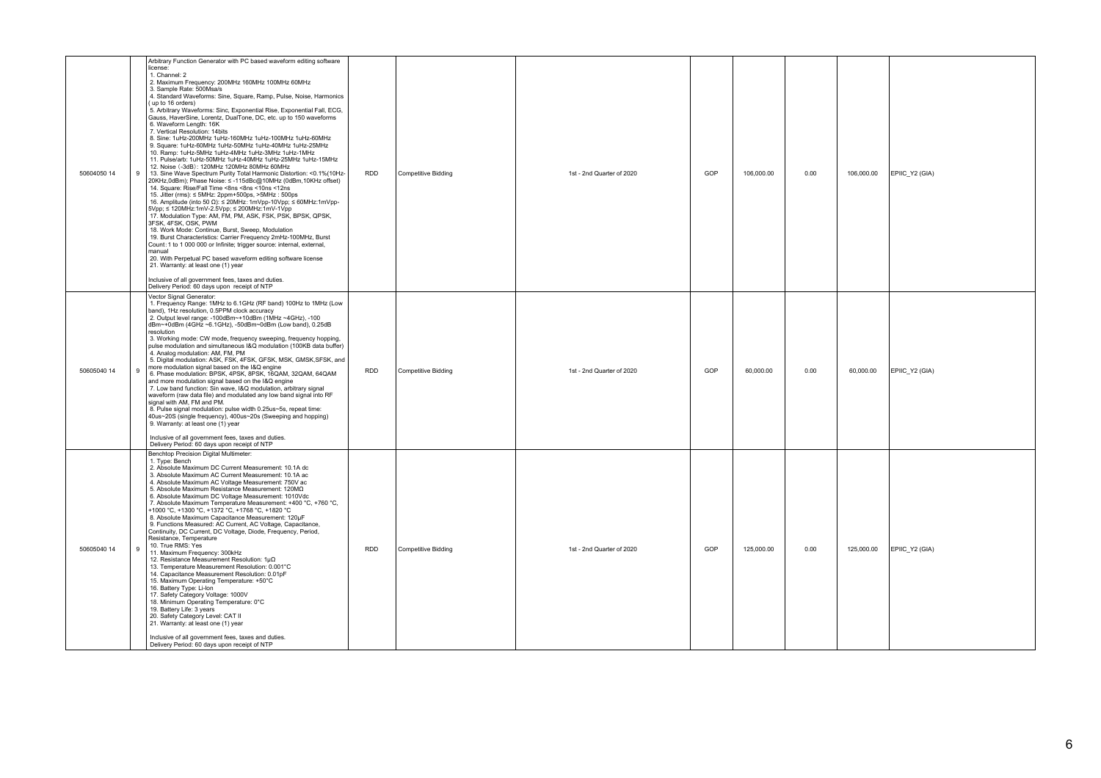| 50604050 14 | Arbitrary Function Generator with PC based waveform editing software<br>license:<br>1. Channel: 2<br>2. Maximum Frequency: 200MHz 160MHz 100MHz 60MHz<br>3. Sample Rate: 500Msa/s<br>4. Standard Waveforms: Sine, Square, Ramp, Pulse, Noise, Harmonics<br>(up to 16 orders)<br>5. Arbitrary Waveforms: Sinc, Exponential Rise, Exponential Fall, ECG,<br>Gauss, HaverSine, Lorentz, DualTone, DC, etc. up to 150 waveforms<br>6. Waveform Length: 16K<br>7. Vertical Resolution: 14bits<br>8. Sine: 1uHz-200MHz 1uHz-160MHz 1uHz-100MHz 1uHz-60MHz<br>9. Square: 1uHz-60MHz 1uHz-50MHz 1uHz-40MHz 1uHz-25MHz<br>10. Ramp: 1uHz-5MHz 1uHz-4MHz 1uHz-3MHz 1uHz-1MHz<br>11. Pulse/arb: 1uHz-50MHz 1uHz-40MHz 1uHz-25MHz 1uHz-15MHz<br>12. Noise (-3dB): 120MHz 120MHz 80MHz 60MHz<br>13. Sine Wave Spectrum Purity Total Harmonic Distortion: < 0.1% (10Hz-<br>9<br>20KHz,0dBm); Phase Noise: ≤-115dBc@10MHz (0dBm,10KHz offset)<br>14. Square: Rise/Fall Time <8ns <8ns <10ns <12ns<br>15. Jitter (rms): ≤ 5MHz: 2ppm+500ps, >5MHz: 500ps<br>16. Amplitude (into 50 $\Omega$ ): $\leq$ 20MHz: 1mVpp-10Vpp; $\leq$ 60MHz: 1mVpp-<br>5Vpp; ≤ 120MHz:1mV-2.5Vpp; ≤ 200MHz:1mV-1Vpp<br>17. Modulation Type: AM, FM, PM, ASK, FSK, PSK, BPSK, QPSK,<br>3FSK, 4FSK, OSK, PWM<br>18. Work Mode: Continue, Burst, Sweep, Modulation<br>19. Burst Characteristics: Carrier Frequency 2mHz-100MHz, Burst<br>Count: 1 to 1 000 000 or Infinite; trigger source: internal, external,<br>manual<br>20. With Perpetual PC based waveform editing software license<br>21. Warranty: at least one (1) year<br>Inclusive of all government fees, taxes and duties.<br>Delivery Period: 60 days upon receipt of NTP | <b>RDD</b> | <b>Competitive Bidding</b> | 1st - 2nd Quarter of 2020 | GOP<br>106,000.00 | 0.00 | 106,000.00 | EPIIC_Y2 (GIA) |
|-------------|--------------------------------------------------------------------------------------------------------------------------------------------------------------------------------------------------------------------------------------------------------------------------------------------------------------------------------------------------------------------------------------------------------------------------------------------------------------------------------------------------------------------------------------------------------------------------------------------------------------------------------------------------------------------------------------------------------------------------------------------------------------------------------------------------------------------------------------------------------------------------------------------------------------------------------------------------------------------------------------------------------------------------------------------------------------------------------------------------------------------------------------------------------------------------------------------------------------------------------------------------------------------------------------------------------------------------------------------------------------------------------------------------------------------------------------------------------------------------------------------------------------------------------------------------------------------------------------------------------------------------------------------------------------------------------------------------|------------|----------------------------|---------------------------|-------------------|------|------------|----------------|
| 50605040 14 | Vector Signal Generator:<br>1. Frequency Range: 1MHz to 6.1GHz (RF band) 100Hz to 1MHz (Low<br>band), 1Hz resolution, 0.5PPM clock accuracy<br>2. Output level range: -100dBm~+10dBm (1MHz ~4GHz), -100<br>dBm~+0dBm (4GHz ~6.1GHz), -50dBm~0dBm (Low band), 0.25dB<br>resolution<br>3. Working mode: CW mode, frequency sweeping, frequency hopping,<br>pulse modulation and simultaneous I&Q modulation (100KB data buffer)<br>4. Analog modulation: AM, FM, PM<br>5. Digital modulation: ASK, FSK, 4FSK, GFSK, MSK, GMSK, SFSK, and<br>more modulation signal based on the I&Q engine<br>$\overline{9}$<br>6. Phase modulation: BPSK, 4PSK, 8PSK, 16QAM, 32QAM, 64QAM<br>and more modulation signal based on the I&Q engine<br>7. Low band function: Sin wave, I&Q modulation, arbitrary signal<br>waveform (raw data file) and modulated any low band signal into RF<br>signal with AM, FM and PM.<br>8. Pulse signal modulation: pulse width 0.25us~5s, repeat time:<br>40us~20S (single frequency), 400us~20s (Sweeping and hopping)<br>9. Warranty: at least one (1) year<br>Inclusive of all government fees, taxes and duties.<br>Delivery Period: 60 days upon receipt of NTP                                                                                                                                                                                                                                                                                                                                                                                                                                                                                                          | RDD        | Competitive Bidding        | 1st - 2nd Quarter of 2020 | GOP<br>60,000.00  | 0.00 | 60,000.00  | EPIIC_Y2 (GIA) |
| 50605040 14 | Benchtop Precision Digital Multimeter:<br>1. Type: Bench<br>2. Absolute Maximum DC Current Measurement: 10.1A dc<br>3. Absolute Maximum AC Current Measurement: 10.1A ac<br>4. Absolute Maximum AC Voltage Measurement: 750V ac<br>5. Absolute Maximum Resistance Measurement: 120ΜΩ<br>6. Absolute Maximum DC Voltage Measurement: 1010Vdc<br>7. Absolute Maximum Temperature Measurement: +400 °C. +760 °C.<br>+1000 °C, +1300 °C, +1372 °C, +1768 °C, +1820 °C<br>8. Absolute Maximum Capacitance Measurement: 120µF<br>9. Functions Measured: AC Current, AC Voltage, Capacitance,<br>Continuity, DC Current, DC Voltage, Diode, Frequency, Period,<br>Resistance, Temperature<br>10. True RMS: Yes<br>9<br>11. Maximum Frequency: 300kHz<br>12. Resistance Measurement Resolution: 1µ0<br>13. Temperature Measurement Resolution: 0.001°C<br>14. Capacitance Measurement Resolution: 0.01pF<br>15. Maximum Operating Temperature: +50°C<br>16. Battery Type: Li-Ion<br>17. Safety Category Voltage: 1000V<br>18. Minimum Operating Temperature: 0°C<br>19. Battery Life: 3 years<br>20. Safety Category Level: CAT II<br>21. Warranty: at least one (1) year<br>Inclusive of all government fees, taxes and duties.<br>Delivery Period: 60 days upon receipt of NTP                                                                                                                                                                                                                                                                                                                                                                                                                         | RDD        | <b>Competitive Bidding</b> | 1st - 2nd Quarter of 2020 | GOP<br>125,000.00 | 0.00 | 125,000.00 | EPIIC_Y2 (GIA) |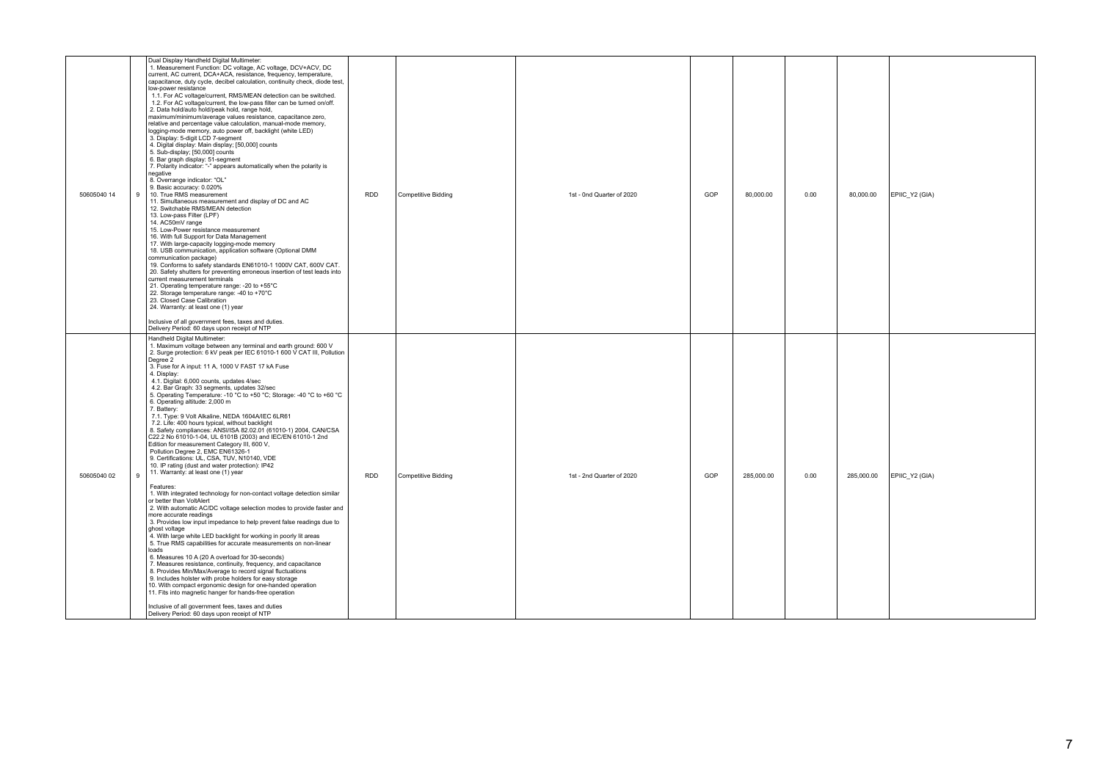| 50605040 14 | Dual Display Handheld Digital Multimeter:<br>1. Measurement Function: DC voltage, AC voltage, DCV+ACV, DC<br>current, AC current, DCA+ACA, resistance, frequency, temperature,<br>capacitance, duty cycle, decibel calculation, continuity check, diode test,<br>low-power resistance<br>1.1. For AC voltage/current, RMS/MEAN detection can be switched.<br>1.2. For AC voltage/current, the low-pass filter can be turned on/off.<br>2. Data hold/auto hold/peak hold, range hold.<br>maximum/minimum/average values resistance, capacitance zero,<br>relative and percentage value calculation, manual-mode memory,<br>logging-mode memory, auto power off, backlight (white LED)<br>3. Display: 5-digit LCD 7-segment<br>4. Digital display: Main display; [50,000] counts<br>5. Sub-display; [50,000] counts<br>6. Bar graph display: 51-segment<br>7. Polarity indicator: "-" appears automatically when the polarity is<br>egative<br>8. Overrange indicator: "OL"<br>9. Basic accuracy: 0.020%<br>10. True RMS measurement<br>$\mathsf{Q}$<br>11. Simultaneous measurement and display of DC and AC<br>12. Switchable RMS/MEAN detection<br>13. Low-pass Filter (LPF)<br>14. AC50mV range<br>15. Low-Power resistance measurement<br>16. With full Support for Data Management<br>17. With large-capacity logging-mode memory<br>18. USB communication, application software (Optional DMM<br>communication package)<br>19. Conforms to safety standards EN61010-1 1000V CAT, 600V CAT.<br>20. Safety shutters for preventing erroneous insertion of test leads into<br>current measurement terminals<br>21. Operating temperature range: -20 to +55°C<br>22. Storage temperature range: -40 to +70°C<br>23. Closed Case Calibration<br>24. Warranty: at least one (1) year<br>Inclusive of all government fees, taxes and duties.<br>Delivery Period: 60 days upon receipt of NTP                              | <b>RDD</b> | Competitive Bidding | 1st - 0nd Quarter of 2020 | GOP | 80.000.00  | 0.00 | 80,000.00<br>EPIIC Y2 (GIA)  |
|-------------|-------------------------------------------------------------------------------------------------------------------------------------------------------------------------------------------------------------------------------------------------------------------------------------------------------------------------------------------------------------------------------------------------------------------------------------------------------------------------------------------------------------------------------------------------------------------------------------------------------------------------------------------------------------------------------------------------------------------------------------------------------------------------------------------------------------------------------------------------------------------------------------------------------------------------------------------------------------------------------------------------------------------------------------------------------------------------------------------------------------------------------------------------------------------------------------------------------------------------------------------------------------------------------------------------------------------------------------------------------------------------------------------------------------------------------------------------------------------------------------------------------------------------------------------------------------------------------------------------------------------------------------------------------------------------------------------------------------------------------------------------------------------------------------------------------------------------------------------------------------------------------------------------------------------------|------------|---------------------|---------------------------|-----|------------|------|------------------------------|
| 50605040 02 | Handheld Digital Multimeter:<br>1. Maximum voltage between any terminal and earth ground: 600 V<br>2. Surge protection: 6 kV peak per IEC 61010-1 600 V CAT III, Pollution<br>Degree 2<br>3. Fuse for A input: 11 A, 1000 V FAST 17 kA Fuse<br>4. Display:<br>4.1. Digital: 6,000 counts, updates 4/sec<br>4.2. Bar Graph: 33 segments, updates 32/sec<br>5. Operating Temperature: -10 °C to +50 °C; Storage: -40 °C to +60 °C<br>6. Operating altitude: 2,000 m<br>7. Battery:<br>7.1. Type: 9 Volt Alkaline, NEDA 1604A/IEC 6LR61<br>7.2. Life: 400 hours typical, without backlight<br>8. Safety compliances: ANSI/ISA 82.02.01 (61010-1) 2004, CAN/CSA<br>C22.2 No 61010-1-04, UL 6101B (2003) and IEC/EN 61010-1 2nd<br>Edition for measurement Category III, 600 V,<br>Pollution Degree 2, EMC EN61326-1<br>9. Certifications: UL, CSA, TUV, N10140, VDE<br>10. IP rating (dust and water protection): IP42<br>11. Warranty: at least one (1) year<br>$\mathbf{Q}$<br>Features:<br>1. With integrated technology for non-contact voltage detection similar<br>or better than VoltAlert<br>2. With automatic AC/DC voltage selection modes to provide faster and<br>more accurate readings<br>3. Provides low input impedance to help prevent false readings due to<br>ghost voltage<br>4. With large white LED backlight for working in poorly lit areas<br>5. True RMS capabilities for accurate measurements on non-linear<br>loads<br>6. Measures 10 A (20 A overload for 30-seconds)<br>7. Measures resistance, continuity, frequency, and capacitance<br>8. Provides Min/Max/Average to record signal fluctuations<br>9. Includes holster with probe holders for easy storage<br>10. With compact ergonomic design for one-handed operation<br>11. Fits into magnetic hanger for hands-free operation<br>Inclusive of all government fees, taxes and duties<br>Delivery Period: 60 days upon receipt of NTP | <b>RDD</b> | Competitive Bidding | 1st - 2nd Quarter of 2020 | GOP | 285,000.00 | 0.00 | EPIIC Y2 (GIA)<br>285,000.00 |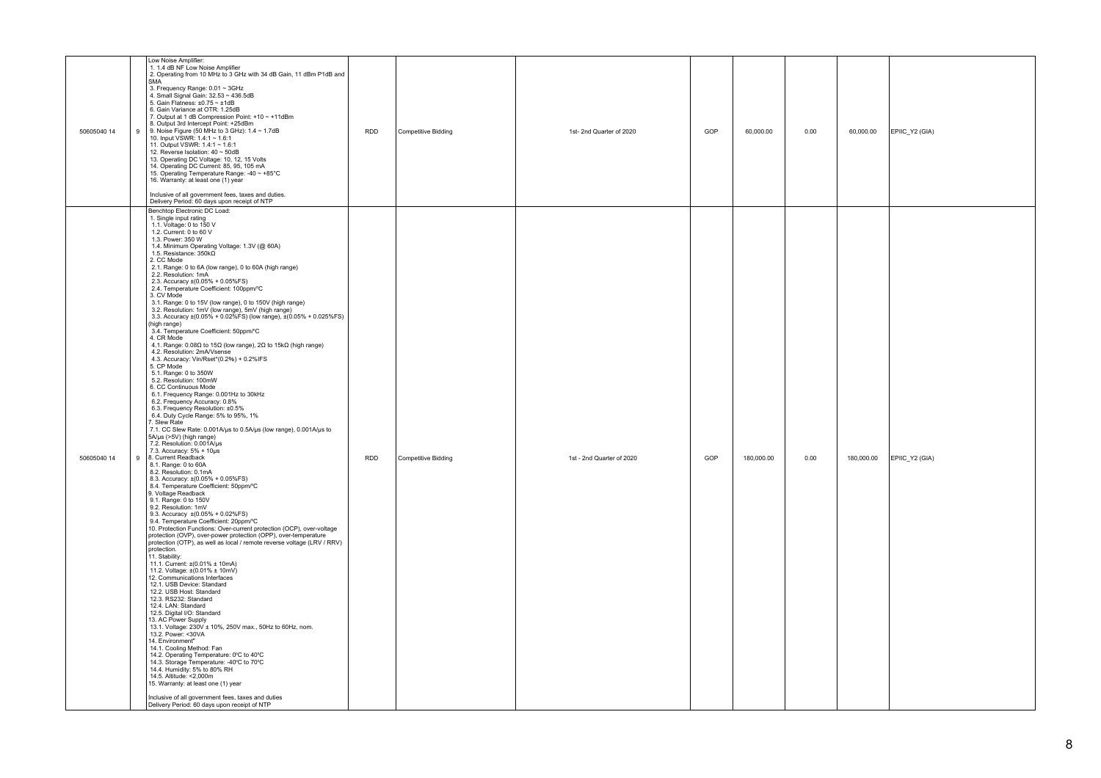| 50605040 14 | Low Noise Amplifier:<br>1. 1.4 dB NF Low Noise Amplifier<br>2. Operating from 10 MHz to 3 GHz with 34 dB Gain, 11 dBm P1dB and<br>SMA <sup>'</sup><br>3. Frequency Range: 0.01 ~ 3GHz<br>4. Small Signal Gain: 32.53 ~ 436.5dB<br>5. Gain Flatness: $\pm 0.75 \sim \pm 1$ dB<br>6. Gain Variance at OTR: 1.25dB<br>7. Output at 1 dB Compression Point: +10 ~ +11dBm<br>8. Output 3rd Intercept Point: +25dBm<br>9. Noise Figure (50 MHz to 3 GHz): 1.4 ~ 1.7dB<br>9<br>10. Input VSWR: 1.4:1 ~ 1.6:1<br>11. Output VSWR: 1.4:1 ~ 1.6:1<br>12. Reverse Isolation: 40 ~ 50dB<br>13. Operating DC Voltage: 10, 12, 15 Volts<br>14. Operating DC Current: 85, 95, 105 mA<br>15. Operating Temperature Range: -40 ~ +85°C<br>16. Warranty: at least one (1) year<br>Inclusive of all government fees, taxes and duties.<br>Delivery Period: 60 days upon receipt of NTP                                                                                                                                                                                                                                                                                                                                                                                                                                                                                                                                                                                                                                                                                                                                                                                                                                                                                                                                                                                                                                                                                                                                                                                                                                                                                                                                                                                                                                                                                                                                                                                                                                                                                                                                                                                                                                                           | <b>RDD</b> | Competitive Bidding        | 1st- 2nd Quarter of 2020  | GOP | 60,000.00  | 0.00 | 60,000.00  | EPIIC Y2 (GIA) |
|-------------|-------------------------------------------------------------------------------------------------------------------------------------------------------------------------------------------------------------------------------------------------------------------------------------------------------------------------------------------------------------------------------------------------------------------------------------------------------------------------------------------------------------------------------------------------------------------------------------------------------------------------------------------------------------------------------------------------------------------------------------------------------------------------------------------------------------------------------------------------------------------------------------------------------------------------------------------------------------------------------------------------------------------------------------------------------------------------------------------------------------------------------------------------------------------------------------------------------------------------------------------------------------------------------------------------------------------------------------------------------------------------------------------------------------------------------------------------------------------------------------------------------------------------------------------------------------------------------------------------------------------------------------------------------------------------------------------------------------------------------------------------------------------------------------------------------------------------------------------------------------------------------------------------------------------------------------------------------------------------------------------------------------------------------------------------------------------------------------------------------------------------------------------------------------------------------------------------------------------------------------------------------------------------------------------------------------------------------------------------------------------------------------------------------------------------------------------------------------------------------------------------------------------------------------------------------------------------------------------------------------------------------------------------------------------------------------------------------------------------------|------------|----------------------------|---------------------------|-----|------------|------|------------|----------------|
| 50605040 14 | Benchtop Electronic DC Load:<br>1. Single input rating<br>1.1. Voltage: 0 to 150 V<br>1.2. Current: 0 to 60 V<br>1.3. Power: 350 W<br>1.4. Minimum Operating Voltage: 1.3V (@ 60A)<br>1.5. Resistance: $350k\Omega$<br>2. CC Mode<br>2.1. Range: 0 to 6A (low range), 0 to 60A (high range)<br>2.2. Resolution: 1mA<br>2.3. Accuracy ±(0.05% + 0.05%FS)<br>2.3. Accuracy ±(0.05% + 0.05%FS)<br>2.4. Temperature Coefficient: 100ppm/°C<br>3. CV Mode<br>3.1. Range: 0 to 15V (low range), 0 to 150V (high range)<br>3.2. Resolution: 1mV (low range), 5mV (high range)<br>3.3. Resolution: 1mV (low range), 5mV (high range)<br>3.3. Accuracy $\pm (0.05\% + 0.02\%)$ (low range), $\pm (0.05\% + 0.025\%)$<br>(high range)<br>3.4. Temperature Coefficient: 50ppm/°C<br>4. CR Mode<br>4.1. Range: $0.08\Omega$ to 15 $\Omega$ (low range), 2 $\Omega$ to 15k $\Omega$ (high range)<br>4.2. Resolution: 2mA/Vsense<br>4.3. Accuracy: Vin/Rset*(0.2%) + 0.2%IFS<br>5. CP Mode<br>5.1. Range: 0 to 350W<br>5.2. Resolution: 100mW<br>6. CC Continuous Mode<br>6.1. Frequency Range: 0.001Hz to 30kHz<br>6.2. Frequency Accuracy: 0.8%<br>6.3. Frequency Resolution: ±0.5%<br>6.4. Duty Cycle Range: 5% to 95%, 1%<br>7. Slew Rate<br>7.1. CC Slew Rate: 0.001A/us to 0.5A/us (low range), 0.001A/us to<br>$5A/\mu s$ (>5V) (high range)<br>7.2. Resolution: 0.001A/ $\mu s$<br>7.3. Accuracy: 5% + 10µs<br>9 8. Current Readback<br>8.1. Range: 0 to 60A<br>8.2. Resolution: 0.1mA<br>8.3. Accuracy: ±(0.05% + 0.05%FS)<br>8.4. Temperature Coefficient: 50ppm/°C<br>9. Voltage Readback<br>9.1. Range: 0 to 150V<br>9.2. Resolution: 1mV<br>9.3. Accuracy $\pm (0.05\% + 0.02\% \text{FS})$<br>9.4. Temperature Coefficient: 20ppm/°C<br>3.1. Protection Functions: Over-current protection (OCP), over-voltage<br>protection (OVP), over-power protection (OPP), over-temperature<br>protection (OTP), as well as local / remote reverse voltage (LRV / RRV)<br>protection.<br>11. Stability:<br>11.1. Current: ±(0.01% ± 10mA)<br>11.2. Voltage: ±(0.01% ± 10mV)<br>12. Communications Interfaces<br>12.1. USB Device: Standard<br>12.2. USB Host: Standard<br>12.3, RS232: Standard<br>12.4. LAN: Standard<br>12.5. Digital I/O: Standard<br>13. AC Power Supply<br>13. AC Power Supply<br>13.1. Voltage: 230V ± 10%, 250V max., 50Hz to 60Hz, nom.<br>13.2. Power: <30VA<br>14. Environment"<br>14.1. Cooling Method: Fan<br>14.2. Operating Temperature: 0°C to 40°C<br>14.3. Storage Temperature: -40°C to 70°C<br>14.4. Humidity: 5% to 80% RH<br>14.5. Altitude: < 2,000m<br>15. Warranty: at least one (1) year<br>Inclusive of all government fees, taxes and duties<br>Delivery Period: 60 days upon receipt of NTP | <b>RDD</b> | <b>Competitive Bidding</b> | 1st - 2nd Quarter of 2020 | GOP | 180,000.00 | 0.00 | 180,000.00 | EPIIC Y2 (GIA) |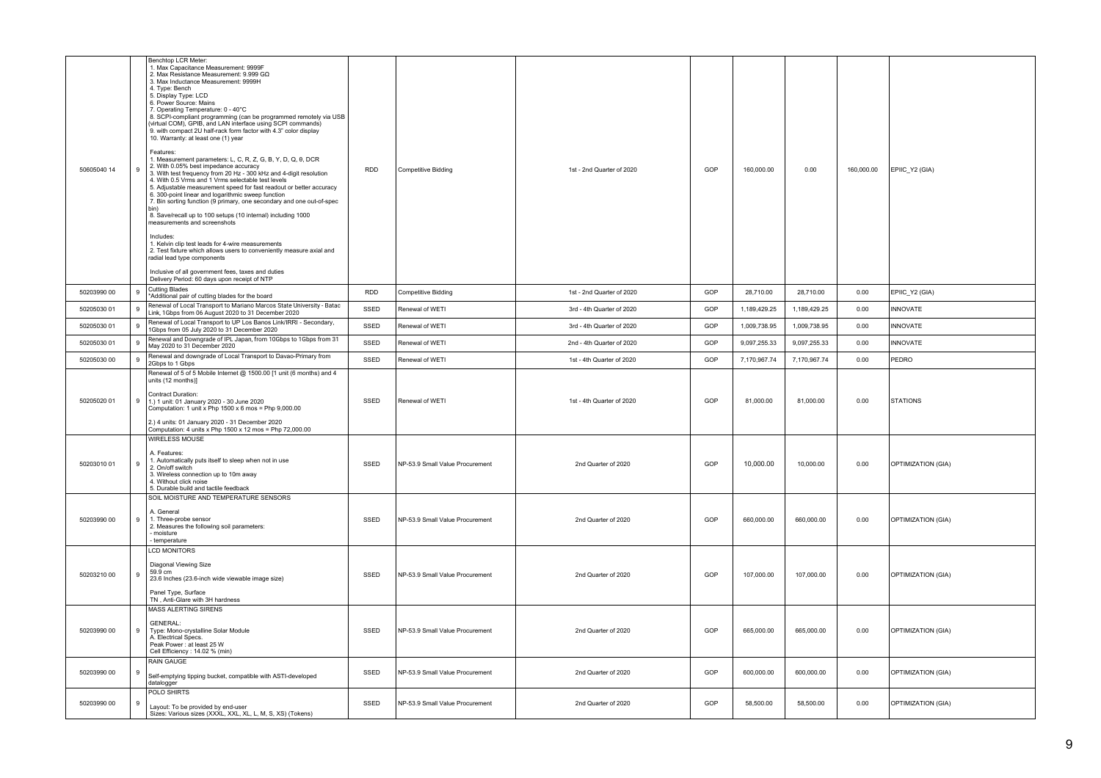| 50605040 14 | 9 | Benchtop LCR Meter:<br>1. Max Capacitance Measurement: 9999F<br>2. Max Resistance Measurement: 9.999 GQ<br>3. Max Inductance Measurement: 9999H<br>4. Type: Bench<br>5. Display Type: LCD<br>6. Power Source: Mains<br>7. Operating Temperature: 0 - 40°C<br>8. SCPI-compliant programming (can be programmed remotely via USB<br>(virtual COM), GPIB, and LAN interface using SCPI commands)<br>9. with compact 2U half-rack form factor with 4.3" color display<br>10. Warranty: at least one (1) year<br>Features:<br>1. Measurement parameters: L, C, R, Z, G, B, Y, D, Q, $\theta$ , DCR<br>2. With 0.05% best impedance accuracy<br>3. With test frequency from 20 Hz - 300 kHz and 4-digit resolution<br>4. With 0.5 Vrms and 1 Vrms selectable test levels<br>5. Adjustable measurement speed for fast readout or better accuracy<br>6. 300-point linear and logarithmic sweep function<br>7. Bin sorting function (9 primary, one secondary and one out-of-spec<br>8. Save/recall up to 100 setups (10 internal) including 1000<br>measurements and screenshots<br>Includes:<br>1. Kelvin clip test leads for 4-wire measurements<br>2. Test fixture which allows users to conveniently measure axial and<br>radial lead type components<br>Inclusive of all government fees, taxes and duties<br>Delivery Period: 60 days upon receipt of NTP<br>Cutting Blades | RDD  | Competitive Bidding             | 1st - 2nd Quarter of 2020 | GOP | 160,000.00   | 0.00         | 160,000.00 | EPIIC_Y2 (GIA)     |
|-------------|---|---------------------------------------------------------------------------------------------------------------------------------------------------------------------------------------------------------------------------------------------------------------------------------------------------------------------------------------------------------------------------------------------------------------------------------------------------------------------------------------------------------------------------------------------------------------------------------------------------------------------------------------------------------------------------------------------------------------------------------------------------------------------------------------------------------------------------------------------------------------------------------------------------------------------------------------------------------------------------------------------------------------------------------------------------------------------------------------------------------------------------------------------------------------------------------------------------------------------------------------------------------------------------------------------------------------------------------------------------------------------------|------|---------------------------------|---------------------------|-----|--------------|--------------|------------|--------------------|
| 50203990 00 | 9 | *Additional pair of cutting blades for the board                                                                                                                                                                                                                                                                                                                                                                                                                                                                                                                                                                                                                                                                                                                                                                                                                                                                                                                                                                                                                                                                                                                                                                                                                                                                                                                          | RDD  | <b>Competitive Bidding</b>      | 1st - 2nd Quarter of 2020 | GOP | 28,710.00    | 28,710.00    | 0.00       | EPIIC_Y2 (GIA)     |
| 50205030 01 | 9 | Renewal of Local Transport to Mariano Marcos State University - Batac<br>Link, 1Gbps from 06 August 2020 to 31 December 2020                                                                                                                                                                                                                                                                                                                                                                                                                                                                                                                                                                                                                                                                                                                                                                                                                                                                                                                                                                                                                                                                                                                                                                                                                                              | SSED | Renewal of WETI                 | 3rd - 4th Quarter of 2020 | GOP | 1,189,429.25 | 1,189,429.25 | 0.00       | <b>INNOVATE</b>    |
| 50205030 01 | 9 | Renewal of Local Transport to UP Los Banos Link/IRRI - Secondary,<br>1Gbps from 05 July 2020 to 31 December 2020                                                                                                                                                                                                                                                                                                                                                                                                                                                                                                                                                                                                                                                                                                                                                                                                                                                                                                                                                                                                                                                                                                                                                                                                                                                          | SSED | Renewal of WETI                 | 3rd - 4th Quarter of 2020 | GOP | 1,009,738.95 | 1,009,738.95 | 0.00       | <b>INNOVATE</b>    |
| 50205030 01 | 9 | Renewal and Downgrade of IPL Japan, from 10Gbps to 1Gbps from 31<br>May 2020 to 31 December 2020                                                                                                                                                                                                                                                                                                                                                                                                                                                                                                                                                                                                                                                                                                                                                                                                                                                                                                                                                                                                                                                                                                                                                                                                                                                                          | SSED | Renewal of WETI                 | 2nd - 4th Quarter of 2020 | GOP | 9,097,255.33 | 9,097,255.33 | 0.00       | <b>INNOVATE</b>    |
| 50205030 00 | 9 | Renewal and downgrade of Local Transport to Davao-Primary from<br>2Gbps to 1 Gbps                                                                                                                                                                                                                                                                                                                                                                                                                                                                                                                                                                                                                                                                                                                                                                                                                                                                                                                                                                                                                                                                                                                                                                                                                                                                                         | SSED | Renewal of WETI                 | 1st - 4th Quarter of 2020 | GOP | 7,170,967.74 | 7,170,967.74 | 0.00       | PEDRO              |
| 50205020 01 | 9 | Renewal of 5 of 5 Mobile Internet @ 1500.00 [1 unit (6 months) and 4<br>units (12 months)]<br>Contract Duration:<br>1.) 1 unit: 01 January 2020 - 30 June 2020<br>Computation: 1 unit x Php 1500 x 6 mos = Php 9,000.00<br>2.) 4 units: 01 January 2020 - 31 December 2020<br>Computation: 4 units x Php 1500 x 12 mos = Php 72,000.00                                                                                                                                                                                                                                                                                                                                                                                                                                                                                                                                                                                                                                                                                                                                                                                                                                                                                                                                                                                                                                    | SSED | Renewal of WETI                 | 1st - 4th Quarter of 2020 | GOP | 81,000.00    | 81,000.00    | 0.00       | <b>STATIONS</b>    |
| 50203010 01 | 9 | WIRELESS MOUSE<br>A. Features:<br>1. Automatically puts itself to sleep when not in use<br>2. On/off switch<br>3. Wireless connection up to 10m away<br>4. Without click noise<br>5. Durable build and tactile feedback                                                                                                                                                                                                                                                                                                                                                                                                                                                                                                                                                                                                                                                                                                                                                                                                                                                                                                                                                                                                                                                                                                                                                   | SSED | NP-53.9 Small Value Procurement | 2nd Quarter of 2020       | GOP | 10,000.00    | 10,000.00    | 0.00       | OPTIMIZATION (GIA) |
| 50203990 00 | 9 | SOIL MOISTURE AND TEMPERATURE SENSORS<br>A. General<br>1. Three-probe sensor<br>2. Measures the following soil parameters:<br>- moisture<br>- temperature                                                                                                                                                                                                                                                                                                                                                                                                                                                                                                                                                                                                                                                                                                                                                                                                                                                                                                                                                                                                                                                                                                                                                                                                                 | SSED | NP-53.9 Small Value Procurement | 2nd Quarter of 2020       | GOP | 660,000.00   | 660,000.00   | 0.00       | OPTIMIZATION (GIA) |
| 50203210 00 | 9 | <b>LCD MONITORS</b><br>Diagonal Viewing Size<br>59.9 cm<br>23.6 Inches (23.6-inch wide viewable image size)<br>Panel Type, Surface<br>TN, Anti-Glare with 3H hardness                                                                                                                                                                                                                                                                                                                                                                                                                                                                                                                                                                                                                                                                                                                                                                                                                                                                                                                                                                                                                                                                                                                                                                                                     | SSED | NP-53.9 Small Value Procurement | 2nd Quarter of 2020       | GOP | 107,000.00   | 107,000.00   | 0.00       | OPTIMIZATION (GIA) |
| 50203990 00 | 9 | MASS ALERTING SIRENS<br><b>GENERAL:</b><br>Type: Mono-crystalline Solar Module<br>A. Electrical Specs.<br>Peak Power: at least 25 W<br>Cell Efficiency: 14.02 % (min)                                                                                                                                                                                                                                                                                                                                                                                                                                                                                                                                                                                                                                                                                                                                                                                                                                                                                                                                                                                                                                                                                                                                                                                                     | SSED | NP-53.9 Small Value Procurement | 2nd Quarter of 2020       | GOP | 665,000.00   | 665,000.00   | 0.00       | OPTIMIZATION (GIA) |
| 50203990 00 | 9 | <b>RAIN GAUGE</b><br>Self-emptying tipping bucket, compatible with ASTI-developed<br>datalogger                                                                                                                                                                                                                                                                                                                                                                                                                                                                                                                                                                                                                                                                                                                                                                                                                                                                                                                                                                                                                                                                                                                                                                                                                                                                           | SSED | NP-53.9 Small Value Procurement | 2nd Quarter of 2020       | GOP | 600,000.00   | 600,000.00   | 0.00       | OPTIMIZATION (GIA) |
| 50203990 00 | 9 | POLO SHIRTS<br>Layout: To be provided by end-user<br>Sizes: Various sizes (XXXL, XXL, XL, L, M, S, XS) (Tokens)                                                                                                                                                                                                                                                                                                                                                                                                                                                                                                                                                                                                                                                                                                                                                                                                                                                                                                                                                                                                                                                                                                                                                                                                                                                           | SSED | NP-53.9 Small Value Procurement | 2nd Quarter of 2020       | GOP | 58,500.00    | 58,500.00    | 0.00       | OPTIMIZATION (GIA) |